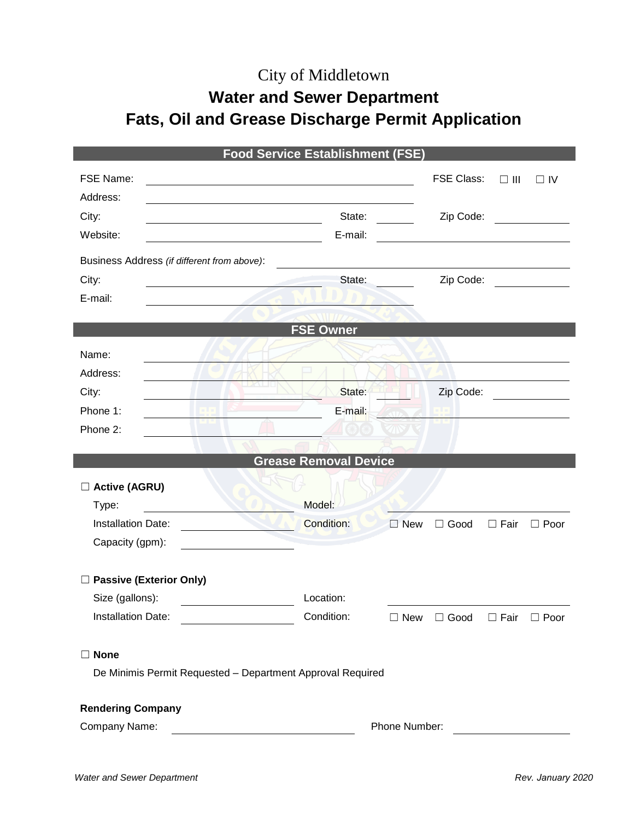## City of Middletown

# **Water and Sewer Department Fats, Oil and Grease Discharge Permit Application**

| <b>Food Service Establishment (FSE)</b>                                                                                           |                              |               |                   |             |                                                                                                                      |  |
|-----------------------------------------------------------------------------------------------------------------------------------|------------------------------|---------------|-------------------|-------------|----------------------------------------------------------------------------------------------------------------------|--|
| FSE Name:<br><u> 1980 - Jan Samuel Barbara, margaret e populazion del control del control del control del control de la provi</u> |                              |               | <b>FSE Class:</b> | $\Box$ III  | $\Box$ IV                                                                                                            |  |
| Address:                                                                                                                          |                              |               |                   |             |                                                                                                                      |  |
| City:                                                                                                                             | State:                       |               | Zip Code:         |             |                                                                                                                      |  |
| Website:                                                                                                                          | E-mail:                      |               |                   |             |                                                                                                                      |  |
| Business Address (if different from above):                                                                                       |                              |               |                   |             |                                                                                                                      |  |
| City:                                                                                                                             | State:                       |               | Zip Code:         |             |                                                                                                                      |  |
| E-mail:                                                                                                                           |                              |               |                   |             |                                                                                                                      |  |
|                                                                                                                                   |                              |               |                   |             |                                                                                                                      |  |
|                                                                                                                                   | <b>FSE Owner</b>             |               |                   |             |                                                                                                                      |  |
| Name:                                                                                                                             |                              |               |                   |             |                                                                                                                      |  |
| Address:                                                                                                                          |                              |               |                   |             |                                                                                                                      |  |
| City:                                                                                                                             | State:                       |               | Zip Code:         |             |                                                                                                                      |  |
| Phone 1:                                                                                                                          | E-mail:                      |               |                   |             |                                                                                                                      |  |
| Phone 2:                                                                                                                          |                              |               |                   |             |                                                                                                                      |  |
|                                                                                                                                   | <b>Grease Removal Device</b> |               |                   |             |                                                                                                                      |  |
|                                                                                                                                   |                              |               |                   |             |                                                                                                                      |  |
| □ Active (AGRU)                                                                                                                   |                              |               |                   |             |                                                                                                                      |  |
| Type:<br><b>Installation Date:</b>                                                                                                | Model:<br><b>Condition:</b>  |               |                   |             |                                                                                                                      |  |
| Capacity (gpm):                                                                                                                   |                              | $\square$ New | $\Box$ Good       | $\Box$ Fair | $\Box$ Poor                                                                                                          |  |
|                                                                                                                                   |                              |               |                   |             |                                                                                                                      |  |
| □ Passive (Exterior Only)                                                                                                         |                              |               |                   |             |                                                                                                                      |  |
| Size (gallons):                                                                                                                   | Location:                    |               |                   |             |                                                                                                                      |  |
| Installation Date:                                                                                                                | Condition:                   | $\Box$ New    | □ Good            | $\Box$ Fair | $\Box$ Poor                                                                                                          |  |
|                                                                                                                                   |                              |               |                   |             |                                                                                                                      |  |
| $\Box$ None                                                                                                                       |                              |               |                   |             |                                                                                                                      |  |
| De Minimis Permit Requested - Department Approval Required                                                                        |                              |               |                   |             |                                                                                                                      |  |
|                                                                                                                                   |                              |               |                   |             |                                                                                                                      |  |
| <b>Rendering Company</b>                                                                                                          |                              |               |                   |             |                                                                                                                      |  |
| Company Name:<br><u> 1980 - Johann Barn, mars an t-Amerikaansk kommunister (</u>                                                  |                              | Phone Number: |                   |             | <u> 1989 - Jan Barbara Barbara, prima popular popular popular popular popular popular popular popular popular po</u> |  |
|                                                                                                                                   |                              |               |                   |             |                                                                                                                      |  |